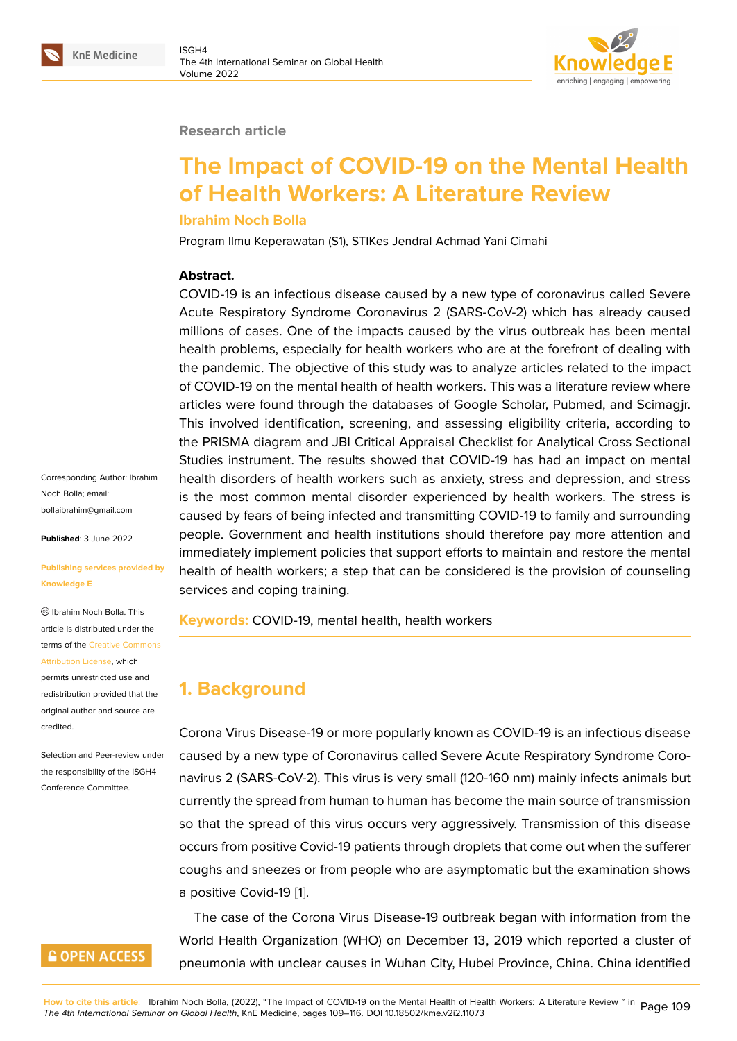#### **Research article**

# **The Impact of COVID-19 on the Mental Health of Health Workers: A Literature Review**

#### **Ibrahim Noch Bolla**

Program Ilmu Keperawatan (S1), STIKes Jendral Achmad Yani Cimahi

#### **Abstract.**

COVID-19 is an infectious disease caused by a new type of coronavirus called Severe Acute Respiratory Syndrome Coronavirus 2 (SARS-CoV-2) which has already caused millions of cases. One of the impacts caused by the virus outbreak has been mental health problems, especially for health workers who are at the forefront of dealing with the pandemic. The objective of this study was to analyze articles related to the impact of COVID-19 on the mental health of health workers. This was a literature review where articles were found through the databases of Google Scholar, Pubmed, and Scimagjr. This involved identification, screening, and assessing eligibility criteria, according to the PRISMA diagram and JBI Critical Appraisal Checklist for Analytical Cross Sectional Studies instrument. The results showed that COVID-19 has had an impact on mental health disorders of health workers such as anxiety, stress and depression, and stress is the most common mental disorder experienced by health workers. The stress is caused by fears of being infected and transmitting COVID-19 to family and surrounding people. Government and health institutions should therefore pay more attention and immediately implement policies that support efforts to maintain and restore the mental health of health workers; a step that can be considered is the provision of counseling services and coping training.

**Keywords:** COVID-19, mental health, health workers

### **1. Background**

Corona Virus Disease-19 or more popularly known as COVID-19 is an infectious disease caused by a new type of Coronavirus called Severe Acute Respiratory Syndrome Coronavirus 2 (SARS-CoV-2). This virus is very small (120-160 nm) mainly infects animals but currently the spread from human to human has become the main source of transmission so that the spread of this virus occurs very aggressively. Transmission of this disease occurs from positive Covid-19 patients through droplets that come out when the sufferer coughs and sneezes or from people who are asymptomatic but the examination shows a positive Covid-19 [1].

The case of the Corona Virus Disease-19 outbreak began with information from the World Health Organization (WHO) on December 13, 2019 which reported a cluster of pneumonia with un[cle](#page-6-0)ar causes in Wuhan City, Hubei Province, China. China identified

Corresponding Author: Ibrahim Noch Bolla; email: bollaibrahim@gmail.com

**Published**: 3 June 2022

#### **[Publishing services prov](mailto:bollaibrahim@gmail.com)ided by Knowledge E**

Ibrahim Noch Bolla. This article is distributed under the terms of the Creative Commons Attribution License, which

permits unrestricted use and redistribution provided that the original auth[or and source are](https://creativecommons.org/licenses/by/4.0/) [credited.](https://creativecommons.org/licenses/by/4.0/)

Selection and Peer-review under the responsibility of the ISGH4 Conference Committee.

### **GOPEN ACCESS**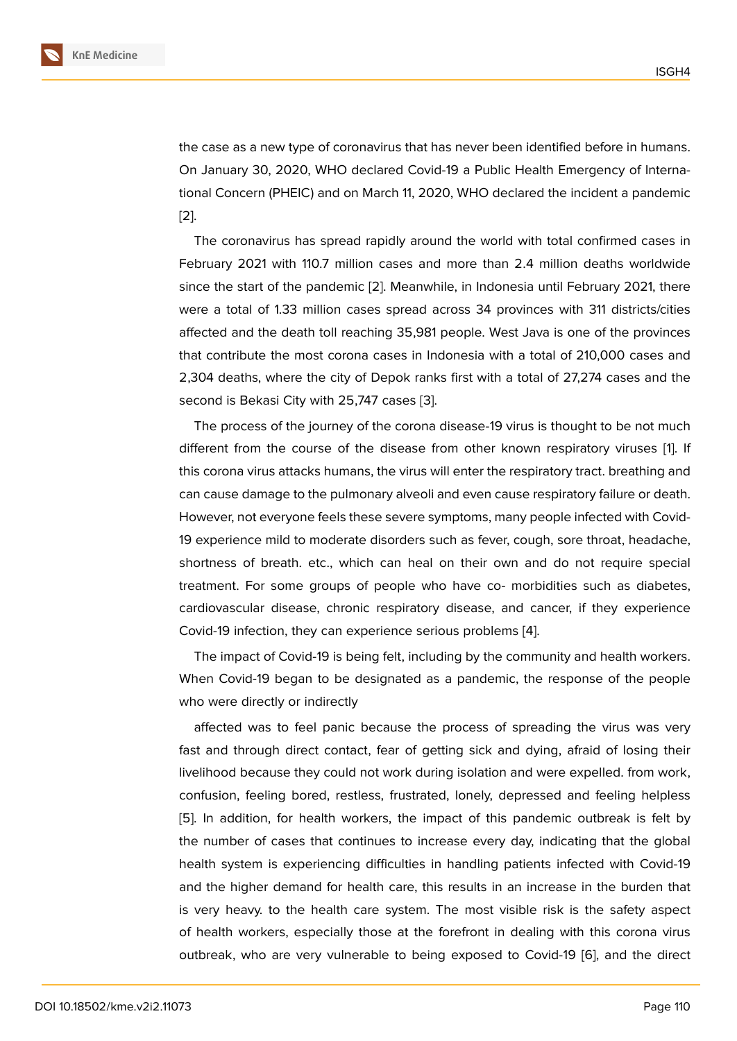the case as a new type of coronavirus that has never been identified before in humans. On January 30, 2020, WHO declared Covid-19 a Public Health Emergency of International Concern (PHEIC) and on March 11, 2020, WHO declared the incident a pandemic [2].

The coronavirus has spread rapidly around the world with total confirmed cases in February 2021 with 110.7 million cases and more than 2.4 million deaths worldwide [sin](#page-6-1)ce the start of the pandemic [2]. Meanwhile, in Indonesia until February 2021, there were a total of 1.33 million cases spread across 34 provinces with 311 districts/cities affected and the death toll reaching 35,981 people. West Java is one of the provinces that contribute the most corona [c](#page-6-1)ases in Indonesia with a total of 210,000 cases and 2,304 deaths, where the city of Depok ranks first with a total of 27,274 cases and the second is Bekasi City with 25,747 cases [3].

The process of the journey of the corona disease-19 virus is thought to be not much different from the course of the disease from other known respiratory viruses [1]. If this corona virus attacks humans, the viru[s](#page-6-2) will enter the respiratory tract. breathing and can cause damage to the pulmonary alveoli and even cause respiratory failure or death. However, not everyone feels these severe symptoms, many people infected with C[ov](#page-6-0)id-19 experience mild to moderate disorders such as fever, cough, sore throat, headache, shortness of breath. etc., which can heal on their own and do not require special treatment. For some groups of people who have co- morbidities such as diabetes, cardiovascular disease, chronic respiratory disease, and cancer, if they experience Covid-19 infection, they can experience serious problems [4].

The impact of Covid-19 is being felt, including by the community and health workers. When Covid-19 began to be designated as a pandemic, the response of the people who were directly or indirectly

affected was to feel panic because the process of spreading the virus was very fast and through direct contact, fear of getting sick and dying, afraid of losing their livelihood because they could not work during isolation and were expelled. from work, confusion, feeling bored, restless, frustrated, lonely, depressed and feeling helpless [5]. In addition, for health workers, the impact of this pandemic outbreak is felt by the number of cases that continues to increase every day, indicating that the global health system is experiencing difficulties in handling patients infected with Covid-19 [an](#page-6-3)d the higher demand for health care, this results in an increase in the burden that is very heavy. to the health care system. The most visible risk is the safety aspect of health workers, especially those at the forefront in dealing with this corona virus outbreak, who are very vulnerable to being exposed to Covid-19 [6], and the direct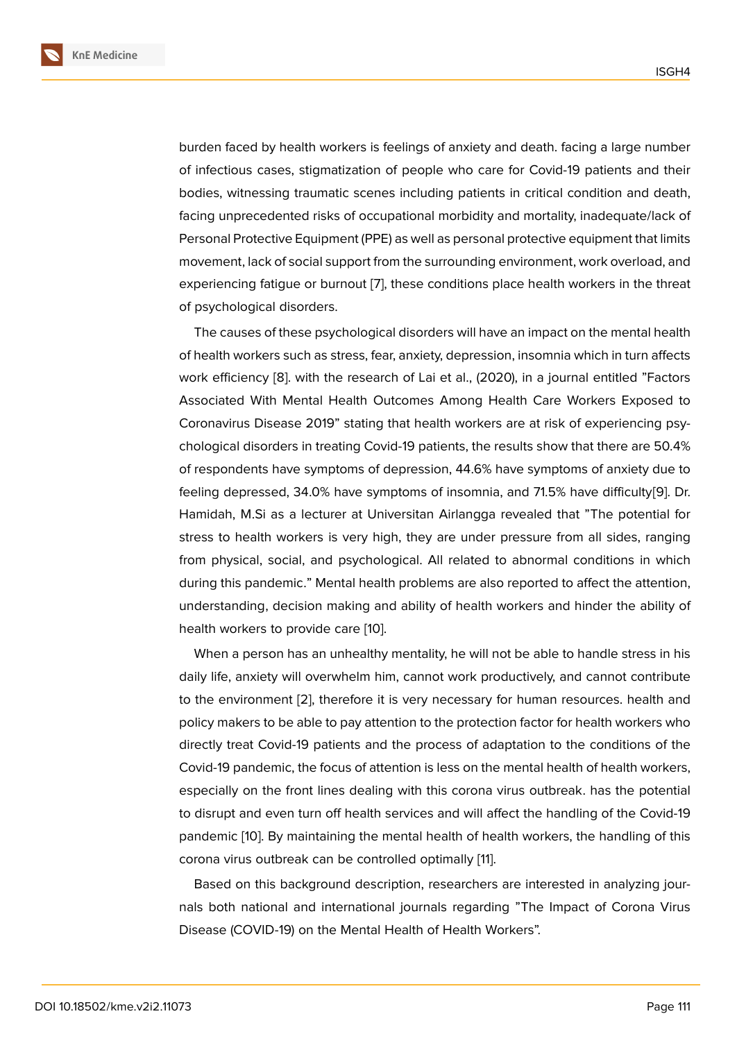burden faced by health workers is feelings of anxiety and death. facing a large number of infectious cases, stigmatization of people who care for Covid-19 patients and their bodies, witnessing traumatic scenes including patients in critical condition and death, facing unprecedented risks of occupational morbidity and mortality, inadequate/lack of Personal Protective Equipment (PPE) as well as personal protective equipment that limits movement, lack of social support from the surrounding environment, work overload, and experiencing fatigue or burnout [7], these conditions place health workers in the threat of psychological disorders.

The causes of these psychological disorders will have an impact on the mental health of health workers such as stress, [fe](#page-6-4)ar, anxiety, depression, insomnia which in turn affects work efficiency [8]. with the research of Lai et al., (2020), in a journal entitled "Factors Associated With Mental Health Outcomes Among Health Care Workers Exposed to Coronavirus Disease 2019" stating that health workers are at risk of experiencing psychological disor[de](#page-6-5)rs in treating Covid-19 patients, the results show that there are 50.4% of respondents have symptoms of depression, 44.6% have symptoms of anxiety due to feeling depressed, 34.0% have symptoms of insomnia, and 71.5% have difficulty[9]. Dr. Hamidah, M.Si as a lecturer at Universitan Airlangga revealed that "The potential for stress to health workers is very high, they are under pressure from all sides, ranging from physical, social, and psychological. All related to abnormal conditions in [w](#page-6-6)hich during this pandemic." Mental health problems are also reported to affect the attention, understanding, decision making and ability of health workers and hinder the ability of health workers to provide care [10].

When a person has an unhealthy mentality, he will not be able to handle stress in his daily life, anxiety will overwhelm him, cannot work productively, and cannot contribute to the environment [2], therefor[e it](#page-7-0) is very necessary for human resources. health and policy makers to be able to pay attention to the protection factor for health workers who directly treat Covid-19 patients and the process of adaptation to the conditions of the Covid-19 pandemic, [th](#page-6-1)e focus of attention is less on the mental health of health workers, especially on the front lines dealing with this corona virus outbreak. has the potential to disrupt and even turn off health services and will affect the handling of the Covid-19 pandemic [10]. By maintaining the mental health of health workers, the handling of this corona virus outbreak can be controlled optimally [11].

Based on this background description, researchers are interested in analyzing journals both [nat](#page-7-0)ional and international journals regarding "The Impact of Corona Virus Disease (COVID-19) on the Mental Health of Healt[h W](#page-7-1)orkers".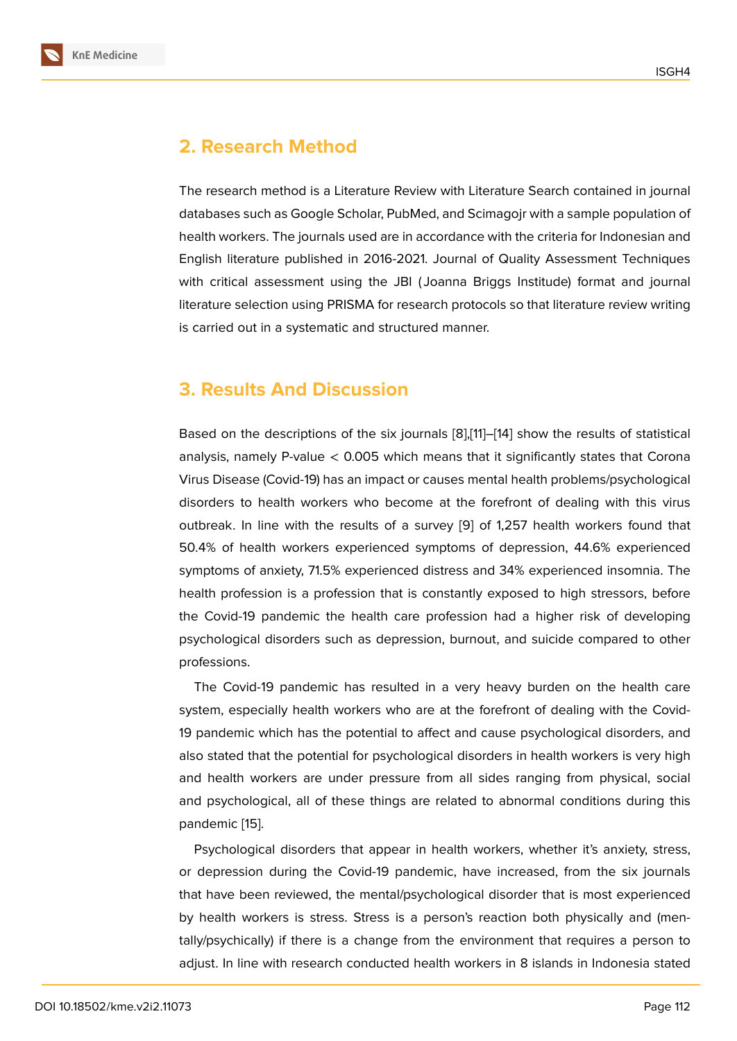### **2. Research Method**

The research method is a Literature Review with Literature Search contained in journal databases such as Google Scholar, PubMed, and Scimagojr with a sample population of health workers. The journals used are in accordance with the criteria for Indonesian and English literature published in 2016-2021. Journal of Quality Assessment Techniques with critical assessment using the JBI ( Joanna Briggs Institude) format and journal literature selection using PRISMA for research protocols so that literature review writing is carried out in a systematic and structured manner.

## **3. Results And Discussion**

Based on the descriptions of the six journals [8],[11]–[14] show the results of statistical analysis, namely P-value  $< 0.005$  which means that it significantly states that Corona Virus Disease (Covid-19) has an impact or causes mental health problems/psychological disorders to health workers who become at [th](#page-6-5)[e f](#page-7-1)o[refr](#page-7-2)ont of dealing with this virus outbreak. In line with the results of a survey [9] of 1,257 health workers found that 50.4% of health workers experienced symptoms of depression, 44.6% experienced symptoms of anxiety, 71.5% experienced distress and 34% experienced insomnia. The health profession is a profession that is consta[nt](#page-6-6)ly exposed to high stressors, before the Covid-19 pandemic the health care profession had a higher risk of developing psychological disorders such as depression, burnout, and suicide compared to other professions.

The Covid-19 pandemic has resulted in a very heavy burden on the health care system, especially health workers who are at the forefront of dealing with the Covid-19 pandemic which has the potential to affect and cause psychological disorders, and also stated that the potential for psychological disorders in health workers is very high and health workers are under pressure from all sides ranging from physical, social and psychological, all of these things are related to abnormal conditions during this pandemic [15].

Psychological disorders that appear in health workers, whether it's anxiety, stress, or depression during the Covid-19 pandemic, have increased, from the six journals that have [bee](#page-7-3)n reviewed, the mental/psychological disorder that is most experienced by health workers is stress. Stress is a person's reaction both physically and (mentally/psychically) if there is a change from the environment that requires a person to adjust. In line with research conducted health workers in 8 islands in Indonesia stated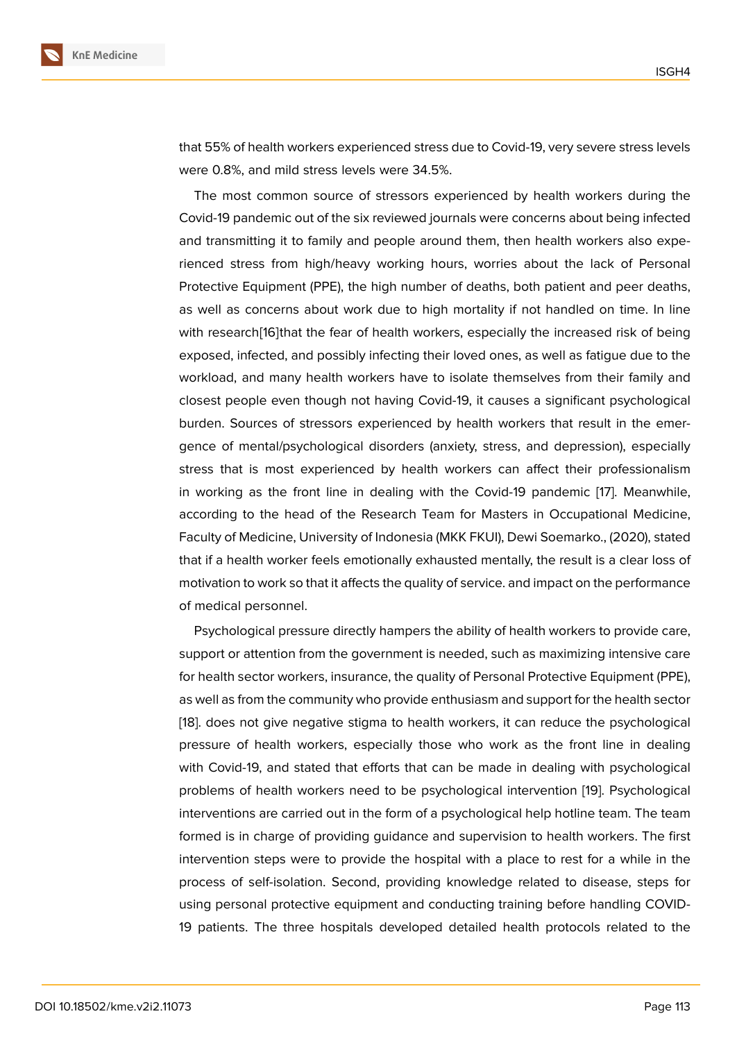that 55% of health workers experienced stress due to Covid-19, very severe stress levels were 0.8%, and mild stress levels were 34.5%.

The most common source of stressors experienced by health workers during the Covid-19 pandemic out of the six reviewed journals were concerns about being infected and transmitting it to family and people around them, then health workers also experienced stress from high/heavy working hours, worries about the lack of Personal Protective Equipment (PPE), the high number of deaths, both patient and peer deaths, as well as concerns about work due to high mortality if not handled on time. In line with research[16]that the fear of health workers, especially the increased risk of being exposed, infected, and possibly infecting their loved ones, as well as fatigue due to the workload, and many health workers have to isolate themselves from their family and closest peopl[e e](#page-7-4)ven though not having Covid-19, it causes a significant psychological burden. Sources of stressors experienced by health workers that result in the emergence of mental/psychological disorders (anxiety, stress, and depression), especially stress that is most experienced by health workers can affect their professionalism in working as the front line in dealing with the Covid-19 pandemic [17]. Meanwhile, according to the head of the Research Team for Masters in Occupational Medicine, Faculty of Medicine, University of Indonesia (MKK FKUI), Dewi Soemarko., (2020), stated that if a health worker feels emotionally exhausted mentally, the result i[s a](#page-7-5) clear loss of motivation to work so that it affects the quality of service. and impact on the performance of medical personnel.

Psychological pressure directly hampers the ability of health workers to provide care, support or attention from the government is needed, such as maximizing intensive care for health sector workers, insurance, the quality of Personal Protective Equipment (PPE), as well as from the community who provide enthusiasm and support for the health sector [18]. does not give negative stigma to health workers, it can reduce the psychological pressure of health workers, especially those who work as the front line in dealing with Covid-19, and stated that efforts that can be made in dealing with psychological [pro](#page-7-6)blems of health workers need to be psychological intervention [19]. Psychological interventions are carried out in the form of a psychological help hotline team. The team formed is in charge of providing guidance and supervision to health workers. The first intervention steps were to provide the hospital with a place to rest [fo](#page-7-7)r a while in the process of self-isolation. Second, providing knowledge related to disease, steps for using personal protective equipment and conducting training before handling COVID-19 patients. The three hospitals developed detailed health protocols related to the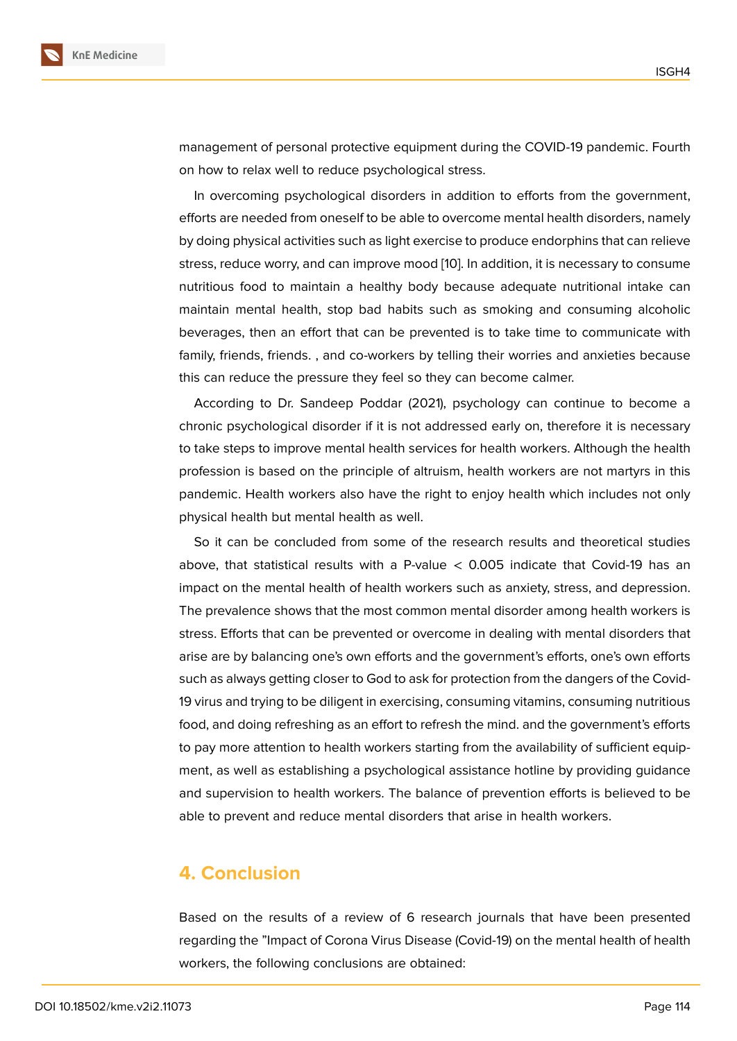management of personal protective equipment during the COVID-19 pandemic. Fourth on how to relax well to reduce psychological stress.

In overcoming psychological disorders in addition to efforts from the government, efforts are needed from oneself to be able to overcome mental health disorders, namely by doing physical activities such as light exercise to produce endorphins that can relieve stress, reduce worry, and can improve mood [10]. In addition, it is necessary to consume nutritious food to maintain a healthy body because adequate nutritional intake can maintain mental health, stop bad habits such as smoking and consuming alcoholic beverages, then an effort that can be preve[nte](#page-7-0)d is to take time to communicate with family, friends, friends. , and co-workers by telling their worries and anxieties because this can reduce the pressure they feel so they can become calmer.

According to Dr. Sandeep Poddar (2021), psychology can continue to become a chronic psychological disorder if it is not addressed early on, therefore it is necessary to take steps to improve mental health services for health workers. Although the health profession is based on the principle of altruism, health workers are not martyrs in this pandemic. Health workers also have the right to enjoy health which includes not only physical health but mental health as well.

So it can be concluded from some of the research results and theoretical studies above, that statistical results with a P-value  $<$  0.005 indicate that Covid-19 has an impact on the mental health of health workers such as anxiety, stress, and depression. The prevalence shows that the most common mental disorder among health workers is stress. Efforts that can be prevented or overcome in dealing with mental disorders that arise are by balancing one's own efforts and the government's efforts, one's own efforts such as always getting closer to God to ask for protection from the dangers of the Covid-19 virus and trying to be diligent in exercising, consuming vitamins, consuming nutritious food, and doing refreshing as an effort to refresh the mind. and the government's efforts to pay more attention to health workers starting from the availability of sufficient equipment, as well as establishing a psychological assistance hotline by providing guidance and supervision to health workers. The balance of prevention efforts is believed to be able to prevent and reduce mental disorders that arise in health workers.

### **4. Conclusion**

Based on the results of a review of 6 research journals that have been presented regarding the "Impact of Corona Virus Disease (Covid-19) on the mental health of health workers, the following conclusions are obtained: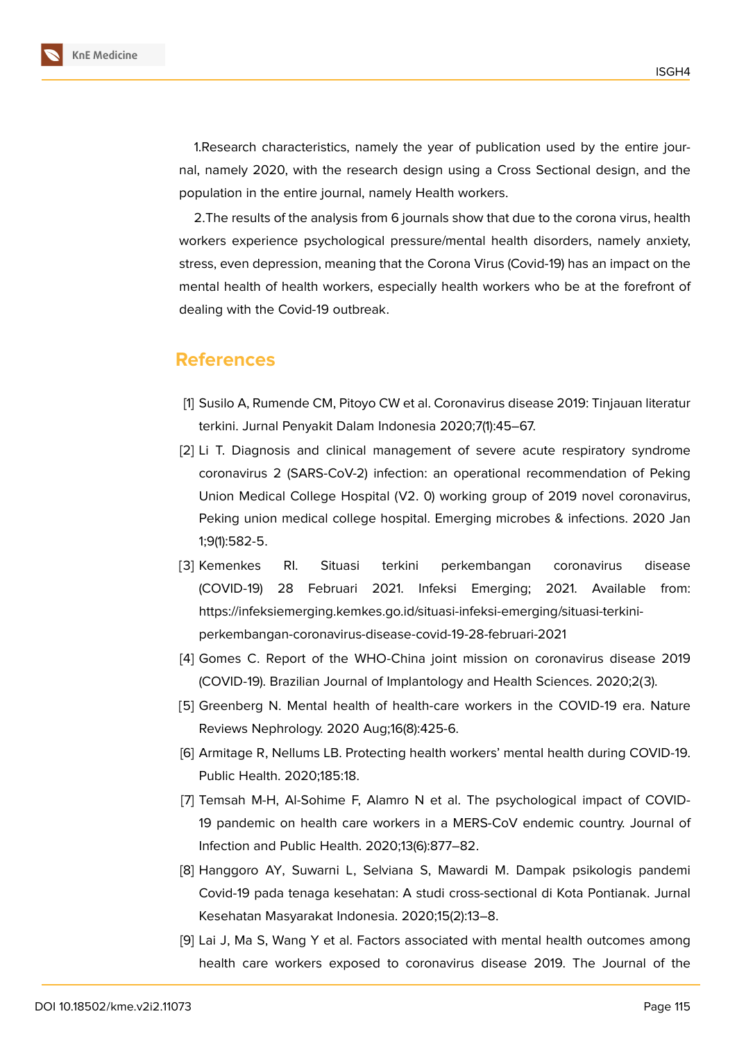

1.Research characteristics, namely the year of publication used by the entire journal, namely 2020, with the research design using a Cross Sectional design, and the population in the entire journal, namely Health workers.

2.The results of the analysis from 6 journals show that due to the corona virus, health workers experience psychological pressure/mental health disorders, namely anxiety, stress, even depression, meaning that the Corona Virus (Covid-19) has an impact on the mental health of health workers, especially health workers who be at the forefront of dealing with the Covid-19 outbreak.

### **References**

- <span id="page-6-0"></span>[1] Susilo A, Rumende CM, Pitoyo CW et al. Coronavirus disease 2019: Tinjauan literatur terkini. Jurnal Penyakit Dalam Indonesia 2020;7(1):45–67.
- <span id="page-6-1"></span>[2] Li T. Diagnosis and clinical management of severe acute respiratory syndrome coronavirus 2 (SARS-CoV-2) infection: an operational recommendation of Peking Union Medical College Hospital (V2. 0) working group of 2019 novel coronavirus, Peking union medical college hospital. Emerging microbes & infections. 2020 Jan 1;9(1):582-5.
- <span id="page-6-2"></span>[3] Kemenkes RI. Situasi terkini perkembangan coronavirus disease (COVID-19) 28 Februari 2021. Infeksi Emerging; 2021. Available from: https://infeksiemerging.kemkes.go.id/situasi-infeksi-emerging/situasi-terkiniperkembangan-coronavirus-disease-covid-19-28-februari-2021
- [4] Gomes C. Report of the WHO-China joint mission on coronavirus disease 2019 (COVID-19). Brazilian Journal of Implantology and Health Sciences. 2020;2(3).
- <span id="page-6-3"></span>[5] Greenberg N. Mental health of health-care workers in the COVID-19 era. Nature Reviews Nephrology. 2020 Aug;16(8):425-6.
- [6] Armitage R, Nellums LB. Protecting health workers' mental health during COVID-19. Public Health. 2020;185:18.
- <span id="page-6-4"></span>[7] Temsah M-H, Al-Sohime F, Alamro N et al. The psychological impact of COVID-19 pandemic on health care workers in a MERS-CoV endemic country. Journal of Infection and Public Health. 2020;13(6):877–82.
- <span id="page-6-5"></span>[8] Hanggoro AY, Suwarni L, Selviana S, Mawardi M. Dampak psikologis pandemi Covid-19 pada tenaga kesehatan: A studi cross-sectional di Kota Pontianak. Jurnal Kesehatan Masyarakat Indonesia. 2020;15(2):13–8.
- <span id="page-6-6"></span>[9] Lai J, Ma S, Wang Y et al. Factors associated with mental health outcomes among health care workers exposed to coronavirus disease 2019. The Journal of the